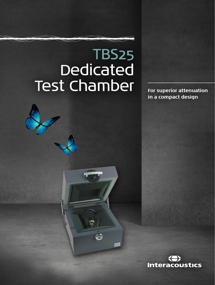# TBS25 Dedicated Test Chamber **For superior attenuation**

4

**in a compact design**

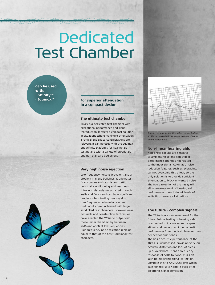# Dedicated Test Chamber

**Can be used with: • Affinity2.0 • Equinox2.0**

## **For superior attenuation in a compact design**

#### **The ultimate test chamber**

TBS25 is a dedicated test chamber with exceptional performance and signal reproduction. It offers a compact solution in situations where maximum attenuation is critical and space considerations are relevant. It can be used with the Equinox and Affinity platforms for hearing aid testing and with a variety of proprietary and non standard equipment.

#### **Very high noise rejection**

Low frequency noise is prevalent and a problem in many buildings. It originates from sources such as distant traffic, doors, air-conditioning and machines. It travels relatively unrestricted through walls and floors and can be a significant problem when testing hearing aids. Low frequency noise rejection has traditionally been achieved with large sand filled test chambers. However, new materials and construction techniques have enabled the TBS25 to outperform these larger chambers by between 25dB and 40dB at low frequencies. High frequency noise rejection remains equal to that of the best traditional test chambers.



*Typical noise attennuation when subjected to a diffuse noise field. Performance may differ in actual installation.*

#### **Non-linear hearing aids**

Non-linear circuits are sensitive to ambient noise and can trigger performance changes not related to the input signal. Automatic noise reduction features, such as averaging, cannot overcome this effect, so the only solution is to provide sufficient attenuation to block unwanted noise. The noise rejection of the TBS25 will allow measurement of hearing aid performance down to input levels of 35dB SPL in nearly all situations.

#### **The future - complex signals**

The TBS25 is also an investment for the future. Future testing of hearing aids is expected to involve more complex stimuli and demand a higher acoustic performance from the test chamber than needed for pure tones.

The basic acoustic performance of the TBS25 is unsurpassed, providing very low acoustic distortion and lack of breakup or overshoot. It has a frequency response of 50Hz to 8000Hz ±1.5 dB with no electronic signal correction. Compare this to ANSI S3.42-1992 which calls for 200Hz to 5000Hz ±3dB after electronic signal correction.

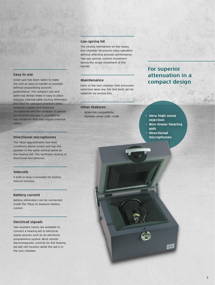# **Gas-spring lid**

The closing mechanism on the heavy test chamber lid ensures easy operation without affecting acoustic performance. Two gas springs cushion movement during the single movement of the handle.

# **Maintenance**

Parts of the test chamber that encounter extensive wear (eg. the test bed) can be replaced via service kits.

#### **Other features**

- NOAH link compatibility
- 

# **For superior attenuation in a compact design**

## • Dynamic range 35dB -110dB **• Very high noise rejection**

- **• Non-linear hearing aids**
- **• Directional microphones**

#### **Easy to use**

Great care has been taken to make the unit as easy to handle as possible without jeopardizing acoustic performance. The compact size and table-top design make it easy to place and use. Internal cable routing eliminates the need for awkward external cables between coupler and reference microphones and the analyzer. A special sound proof passage is provided for any situations that may require external cables.

#### **Directional microphones**

The TBS25 approximates free field conditions above 500Hz and has the speaker in the same vertical plane as the hearing aid. This facilitates testing of directional microphones.

# **Telecoils**

A built-in loop is provided for testing telecoil function.

## **Battery current**

Battery eliminators can be connected inside the TBS25 to measure battery current.

#### **Electrical signals**

Two auxiliary inputs are available to connect a hearing aid to electrical signal sources such as an electronic programming system. Most remote electromagnetic controls for the hearing aid will still function while the aid is in the test chamber.